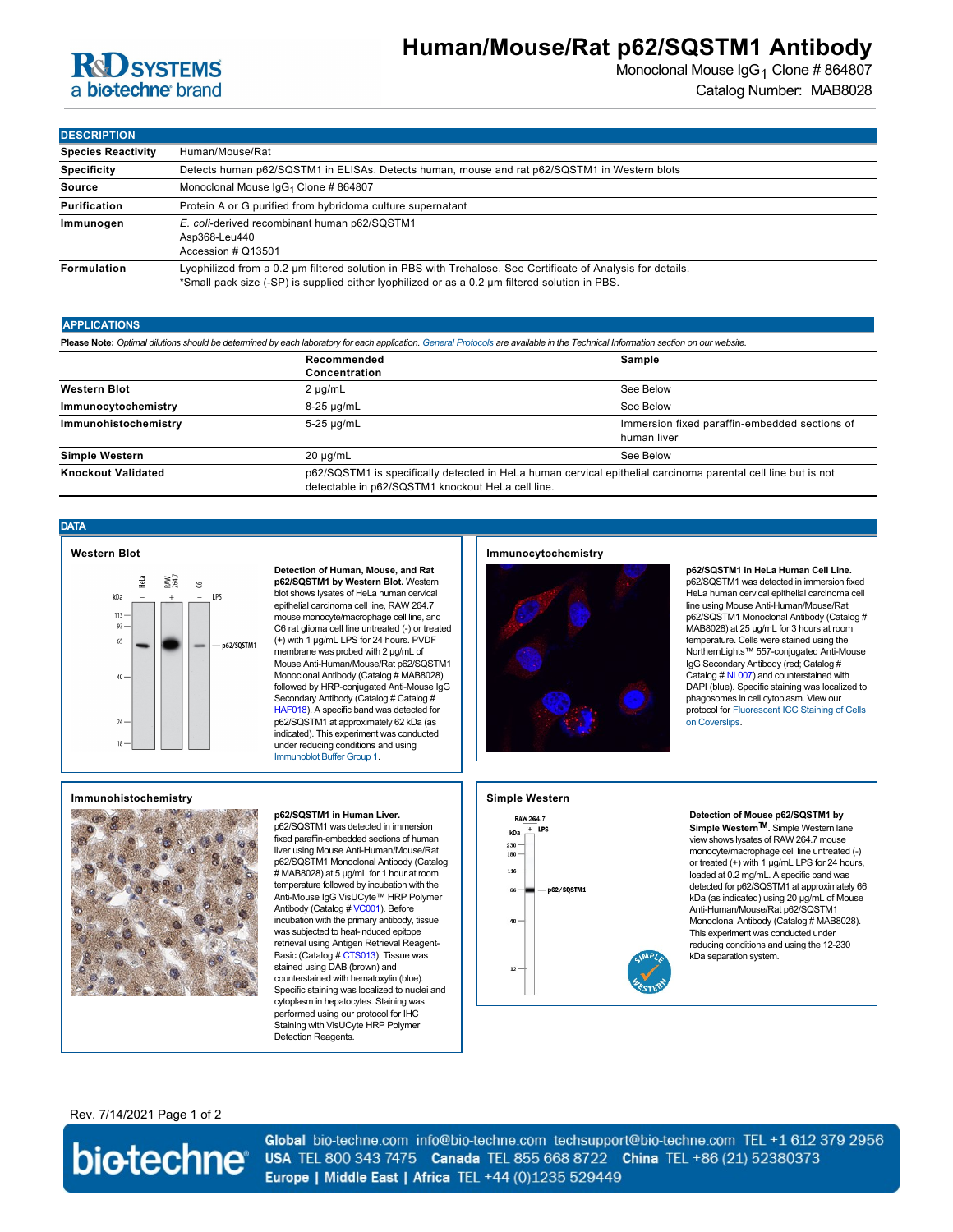## **R&D SYSTEMS** a biotechne brand

## **Human/Mouse/Rat p62/SQSTM1 Antibody**

Monoclonal Mouse  $\lg G_1$  Clone # 864807 Catalog Number: MAB8028

| <b>DESCRIPTION</b>        |                                                                                                                                                                                                               |  |  |
|---------------------------|---------------------------------------------------------------------------------------------------------------------------------------------------------------------------------------------------------------|--|--|
| <b>Species Reactivity</b> | Human/Mouse/Rat                                                                                                                                                                                               |  |  |
| <b>Specificity</b>        | Detects human p62/SQSTM1 in ELISAs. Detects human, mouse and rat p62/SQSTM1 in Western blots                                                                                                                  |  |  |
| Source                    | Monoclonal Mouse IgG <sub>1</sub> Clone # 864807                                                                                                                                                              |  |  |
| Purification              | Protein A or G purified from hybridoma culture supernatant                                                                                                                                                    |  |  |
| Immunogen                 | E. coli-derived recombinant human p62/SQSTM1<br>Asp368-Leu440<br>Accession # Q13501                                                                                                                           |  |  |
| Formulation               | Lyophilized from a 0.2 µm filtered solution in PBS with Trehalose. See Certificate of Analysis for details.<br>*Small pack size (-SP) is supplied either lyophilized or as a 0.2 um filtered solution in PBS. |  |  |

#### **APPLICATIONS**

**Please Note:** *Optimal dilutions should be determined by each laboratory for each application. [General Protocols](http://www.rndsystems.com/resources/protocols-troubleshooting-guides) are available in the Technical Information section on our website.*

|                           | Recommended<br>Concentration | Sample                                                                                                                                                             |  |
|---------------------------|------------------------------|--------------------------------------------------------------------------------------------------------------------------------------------------------------------|--|
| <b>Western Blot</b>       | $2 \mu q/mL$                 | See Below                                                                                                                                                          |  |
| Immunocytochemistry       | 8-25 µg/mL                   | See Below                                                                                                                                                          |  |
| Immunohistochemistry      | 5-25 µg/mL                   | Immersion fixed paraffin-embedded sections of<br>human liver                                                                                                       |  |
| <b>Simple Western</b>     | $20 \mu q/mL$                | See Below                                                                                                                                                          |  |
| <b>Knockout Validated</b> |                              | p62/SQSTM1 is specifically detected in HeLa human cervical epithelial carcinoma parental cell line but is not<br>detectable in p62/SQSTM1 knockout HeLa cell line. |  |

**DATA**



**Detection of Human, Mouse, and Rat p62/SQSTM1 by Western Blot.** Western blot shows lysates of HeLa human cervical epithelial carcinoma cell line, RAW 264.7 mouse monocyte/macrophage cell line, and C6 rat glioma cell line untreated (-) or treated (+) with 1 µg/mL LPS for 24 hours. PVDF membrane was probed with 2 µg/mL of Mouse Anti-Human/Mouse/Rat p62/SQSTM1 Monoclonal Antibody (Catalog # MAB8028) followed by HRP-conjugated Anti-Mouse IgG Secondary Antibody (Catalog # Catalog # [HAF018](https://www.rndsystems.com/search?keywords=HAF018)). A specific band was detected for p62/SQSTM1 at approximately 62 kDa (as indicated). This experiment was conducted under reducing conditions and using [Immunoblot Buffer Group 1](http://www.rndsystems.com/resources/technical/western-blot-conditions).

### **Immunocytochemistry**



**p62/SQSTM1 in HeLa Human Cell Line.** p62/SQSTM1 was detected in immersion fixed HeLa human cervical epithelial carcinoma cell line using Mouse Anti-Human/Mouse/Rat p62/SQSTM1 Monoclonal Antibody (Catalog # MAB8028) at 25 µg/mL for 3 hours at room temperature. Cells were stained using the NorthernLights™ 557-conjugated Anti-Mouse IgG Secondary Antibody (red; Catalog # Catalog # [NL007\)](https://www.rndsystems.com/search?keywords=NL007) and counterstained with DAPI (blue). Specific staining was localized to phagosomes in cell cytoplasm. View our [protocol for Fluorescent ICC Staining of Cells](http://www.rndsystems.com/resources/protocols/protocol-preparation-and-fluorescent-icc-staining-cells-coverslips) on Coverslips.

#### **Immunohistochemistry**



#### **p62/SQSTM1 in Human Liver.**

p62/SQSTM1 was detected in immersion fixed paraffin-embedded sections of human liver using Mouse Anti-Human/Mouse/Rat p62/SQSTM1 Monoclonal Antibody (Catalog # MAB8028) at 5 µg/mL for 1 hour at room temperature followed by incubation with the Anti-Mouse IgG VisUCyte™ HRP Polymer Antibody (Catalog # [VC001](https://www.rndsystems.com/search?keywords=VC001)). Before incubation with the primary antibody, tissue was subjected to heat-induced epitope retrieval using Antigen Retrieval Reagent-Basic (Catalog # [CTS013\)](https://www.rndsystems.com/search?keywords=CTS013). Tissue was stained using DAB (brown) and counterstained with hematoxylin (blue). Specific staining was localized to nuclei and cytoplasm in hepatocytes. Staining was performed using our protocol for IHC Staining with VisUCyte HRP Polymer Detection Reagents.

## **Simple Western**



### **Detection of Mouse p62/SQSTM1 by**

**Simple WesternTM.** Simple Western lane view shows lysates of RAW 264.7 mouse monocyte/macrophage cell line untreated (-) or treated (+) with 1 µg/mL LPS for 24 hours, loaded at 0.2 mg/mL. A specific band was detected for p62/SQSTM1 at approximately 66 kDa (as indicated) using 20 µg/mL of Mouse Anti-Human/Mouse/Rat p62/SQSTM1 Monoclonal Antibody (Catalog # MAB8028). This experiment was conducted under reducing conditions and using the 12-230 kDa separation system.

Rev. 7/14/2021 Page 1 of 2



Global bio-techne.com info@bio-techne.com techsupport@bio-techne.com TEL +1 612 379 2956 USA TEL 800 343 7475 Canada TEL 855 668 8722 China TEL +86 (21) 52380373 Europe | Middle East | Africa TEL +44 (0)1235 529449